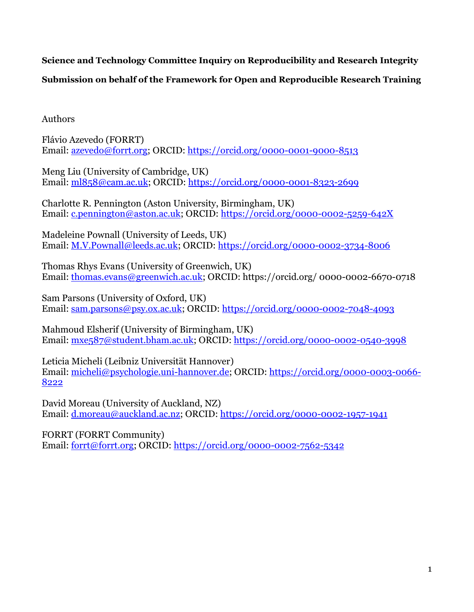**Science and Technology Committee Inquiry on Reproducibility and Research Integrity** 

**Submission on behalf of the Framework for Open and Reproducible Research Training**

Authors

Flávio Azevedo (FORRT) Email: [azevedo@forrt.org;](mailto:azevedo@forrt.org) ORCID: <https://orcid.org/0000-0001-9000-8513>

Meng Liu (University of Cambridge, UK) Email: [ml858@cam.ac.uk;](mailto:ml858@cam.ac.uk) ORCID: <https://orcid.org/0000-0001-8323-2699>

Charlotte R. Pennington (Aston University, Birmingham, UK) Email: [c.pennington@aston.ac.uk;](mailto:c.pennington@aston.ac.uk) ORCID:<https://orcid.org/0000-0002-5259-642X>

Madeleine Pownall (University of Leeds, UK) Email: [M.V.Pownall@leeds.ac.uk;](mailto:M.V.Pownall@leeds.ac.uk) ORCID:<https://orcid.org/0000-0002-3734-8006>

Thomas Rhys Evans (University of Greenwich, UK) Email: [thomas.evans@greenwich.ac.uk;](mailto:thomas.evans@greenwich.ac.uk) ORCID: https://orcid.org/ 0000-0002-6670-0718

Sam Parsons (University of Oxford, UK) Email: [sam.parsons@psy.ox.ac.uk;](mailto:sam.parsons@psy.ox.ac.uk) ORCID:<https://orcid.org/0000-0002-7048-4093>

Mahmoud Elsherif (University of Birmingham, UK) Email: [mxe587@student.bham.ac.uk;](mailto:mxe587@student.bham.ac.uk) ORCID:<https://orcid.org/0000-0002-0540-3998>

Leticia Micheli (Leibniz Universität Hannover) Email: [micheli@psychologie.uni-hannover.de;](mailto:micheli@psychologie.uni-hannover.de) ORCID: [https://orcid.org/0000-0003-0066-](https://orcid.org/0000-0003-0066-8222) [8222](https://orcid.org/0000-0003-0066-8222)

David Moreau (University of Auckland, NZ) Email: [d.moreau@auckland.ac.nz;](mailto:d.moreau@auckland.ac.nz) ORCID:<https://orcid.org/0000-0002-1957-1941>

FORRT (FORRT Community) Email: [forrt@forrt.org;](mailto:forrt@forrt.org) ORCID: <https://orcid.org/0000-0002-7562-5342>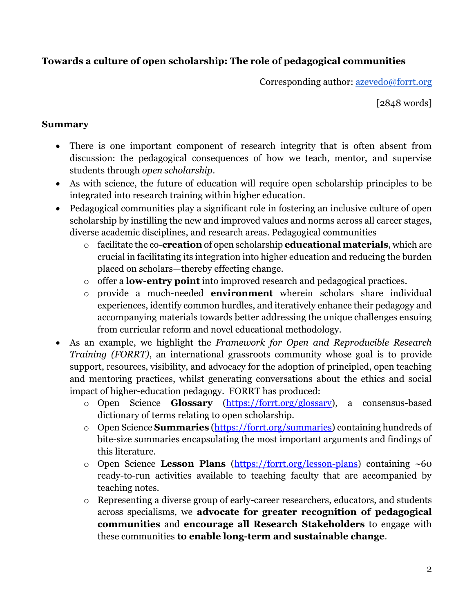# **Towards a culture of open scholarship: The role of pedagogical communities**

Corresponding author: [azevedo@forrt.org](mailto:azevedo@forrt.org)

[2848 words]

## **Summary**

- There is one important component of research integrity that is often absent from discussion: the pedagogical consequences of how we teach, mentor, and supervise students through *open scholarship*.
- As with science, the future of education will require open scholarship principles to be integrated into research training within higher education.
- Pedagogical communities play a significant role in fostering an inclusive culture of open scholarship by instilling the new and improved values and norms across all career stages, diverse academic disciplines, and research areas. Pedagogical communities
	- o facilitate the co-**creation** of open scholarship **educational materials**, which are crucial in facilitating its integration into higher education and reducing the burden placed on scholars—thereby effecting change.
	- o offer a **low-entry point** into improved research and pedagogical practices.
	- o provide a much-needed **environment** wherein scholars share individual experiences, identify common hurdles, and iteratively enhance their pedagogy and accompanying materials towards better addressing the unique challenges ensuing from curricular reform and novel educational methodology.
- As an example, we highlight the *Framework for Open and Reproducible Research Training (FORRT)*, an international grassroots community whose goal is to provide support, resources, visibility, and advocacy for the adoption of principled, open teaching and mentoring practices, whilst generating conversations about the ethics and social impact of higher-education pedagogy. FORRT has produced:
	- o Open Science **Glossary** [\(https://forrt.org/glossary\)](https://forrt.org/glossary/), a consensus-based dictionary of terms relating to open scholarship.
	- o Open Science **Summaries** [\(https://forrt.org/summaries\)](https://forrt.org/summaries/) containing hundreds of bite-size summaries encapsulating the most important arguments and findings of this literature.
	- o Open Science **Lesson Plans** [\(https://forrt.org/lesson-plans\)](https://forrt.org/lesson-plans) containing ~60 ready-to-run activities available to teaching faculty that are accompanied by teaching notes.
	- o Representing a diverse group of early-career researchers, educators, and students across specialisms, we **advocate for greater recognition of pedagogical communities** and **encourage all Research Stakeholders** to engage with these communities **to enable long-term and sustainable change**.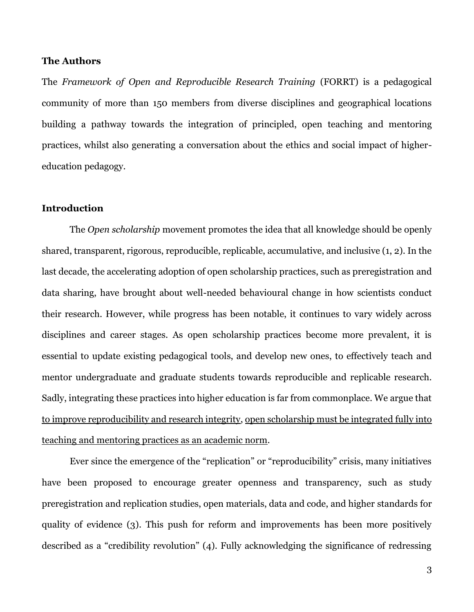#### **The Authors**

The *Framework of Open and Reproducible Research Training* (FORRT) is a pedagogical community of more than 150 members from diverse disciplines and geographical locations building a pathway towards the integration of principled, open teaching and mentoring practices, whilst also generating a conversation about the ethics and social impact of highereducation pedagogy.

#### **Introduction**

The *Open scholarship* movement promotes the idea that all knowledge should be openly shared, transparent, rigorous, reproducible, replicable, accumulative, and inclusive (1, 2). In the last decade, the accelerating adoption of open scholarship practices, such as preregistration and data sharing, have brought about well-needed behavioural change in how scientists conduct their research. However, while progress has been notable, it continues to vary widely across disciplines and career stages. As open scholarship practices become more prevalent, it is essential to update existing pedagogical tools, and develop new ones, to effectively teach and mentor undergraduate and graduate students towards reproducible and replicable research. Sadly, integrating these practices into higher education is far from commonplace. We argue that to improve reproducibility and research integrity, open scholarship must be integrated fully into teaching and mentoring practices as an academic norm.

Ever since the emergence of the "replication" or "reproducibility" crisis, many initiatives have been proposed to encourage greater openness and transparency, such as study preregistration and replication studies, open materials, data and code, and higher standards for quality of evidence (3). This push for reform and improvements has been more positively described as a "credibility revolution" (4). Fully acknowledging the significance of redressing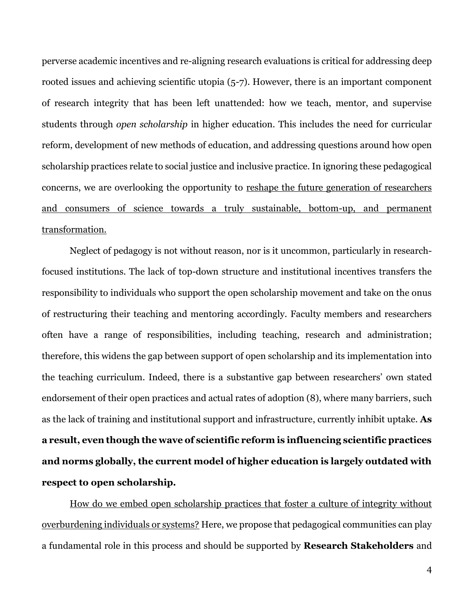perverse academic incentives and re-aligning research evaluations is critical for addressing deep rooted issues and achieving scientific utopia (5-7). However, there is an important component of research integrity that has been left unattended: how we teach, mentor, and supervise students through *open scholarship* in higher education. This includes the need for curricular reform, development of new methods of education, and addressing questions around how open scholarship practices relate to social justice and inclusive practice. In ignoring these pedagogical concerns, we are overlooking the opportunity to reshape the future generation of researchers and consumers of science towards a truly sustainable, bottom-up, and permanent transformation.

Neglect of pedagogy is not without reason, nor is it uncommon, particularly in researchfocused institutions. The lack of top-down structure and institutional incentives transfers the responsibility to individuals who support the open scholarship movement and take on the onus of restructuring their teaching and mentoring accordingly. Faculty members and researchers often have a range of responsibilities, including teaching, research and administration; therefore, this widens the gap between support of open scholarship and its implementation into the teaching curriculum. Indeed, there is a substantive gap between researchers' own stated endorsement of their open practices and actual rates of adoption (8), where many barriers, such as the lack of training and institutional support and infrastructure, currently inhibit uptake. **As a result, even though the wave of scientific reform is influencing scientific practices and norms globally, the current model of higher education is largely outdated with respect to open scholarship.**

How do we embed open scholarship practices that foster a culture of integrity without overburdening individuals or systems? Here, we propose that pedagogical communities can play a fundamental role in this process and should be supported by **Research Stakeholders** and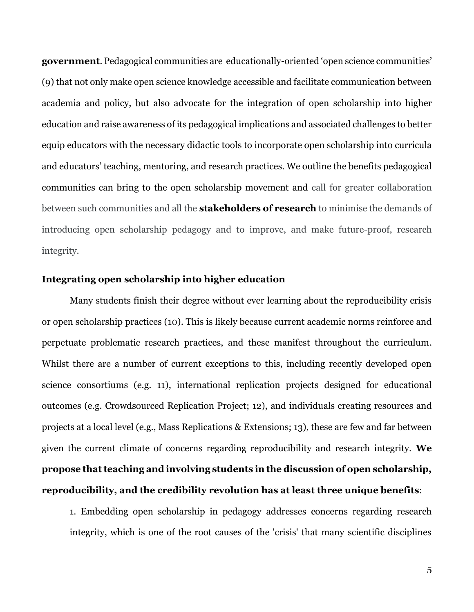**government**. Pedagogical communities are educationally-oriented 'open science communities' (9) that not only make open science knowledge accessible and facilitate communication between academia and policy, but also advocate for the integration of open scholarship into higher education and raise awareness of its pedagogical implications and associated challenges to better equip educators with the necessary didactic tools to incorporate open scholarship into curricula and educators' teaching, mentoring, and research practices. We outline the benefits pedagogical communities can bring to the open scholarship movement and call for greater collaboration between such communities and all the **stakeholders of research** to minimise the demands of introducing open scholarship pedagogy and to improve, and make future-proof, research integrity.

#### **Integrating open scholarship into higher education**

Many students finish their degree without ever learning about the reproducibility crisis or open scholarship practices (10). This is likely because current academic norms reinforce and perpetuate problematic research practices, and these manifest throughout the curriculum. Whilst there are a number of current exceptions to this, including recently developed open science consortiums (e.g. 11), international replication projects designed for educational outcomes (e.g. Crowdsourced Replication Project; 12), and individuals creating resources and projects at a local level (e.g., Mass Replications & Extensions; 13), these are few and far between given the current climate of concerns regarding reproducibility and research integrity. **We propose that teaching and involving students in the discussion of open scholarship, reproducibility, and the credibility revolution has at least three unique benefits**:

1. Embedding open scholarship in pedagogy addresses concerns regarding research integrity, which is one of the root causes of the 'crisis' that many scientific disciplines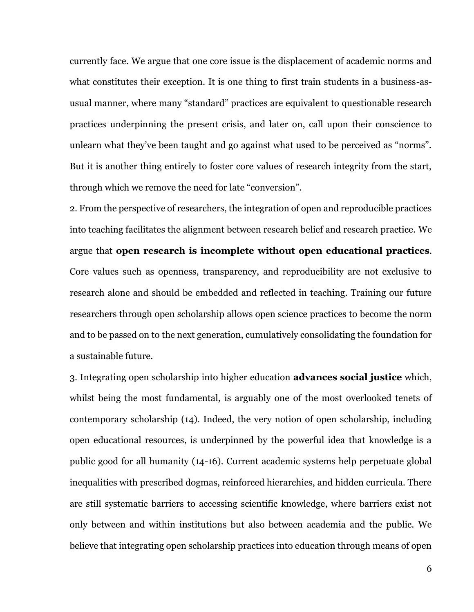currently face. We argue that one core issue is the displacement of academic norms and what constitutes their exception. It is one thing to first train students in a business-asusual manner, where many "standard" practices are equivalent to questionable research practices underpinning the present crisis, and later on, call upon their conscience to unlearn what they've been taught and go against what used to be perceived as "norms". But it is another thing entirely to foster core values of research integrity from the start, through which we remove the need for late "conversion".

2. From the perspective of researchers, the integration of open and reproducible practices into teaching facilitates the alignment between research belief and research practice. We argue that **open research is incomplete without open educational practices**. Core values such as openness, transparency, and reproducibility are not exclusive to research alone and should be embedded and reflected in teaching. Training our future researchers through open scholarship allows open science practices to become the norm and to be passed on to the next generation, cumulatively consolidating the foundation for a sustainable future.

3. Integrating open scholarship into higher education **advances social justice** which, whilst being the most fundamental, is arguably one of the most overlooked tenets of contemporary scholarship (14). Indeed, the very notion of open scholarship, including open educational resources, is underpinned by the powerful idea that knowledge is a public good for all humanity (14-16). Current academic systems help perpetuate global inequalities with prescribed dogmas, reinforced hierarchies, and hidden curricula. There are still systematic barriers to accessing scientific knowledge, where barriers exist not only between and within institutions but also between academia and the public. We believe that integrating open scholarship practices into education through means of open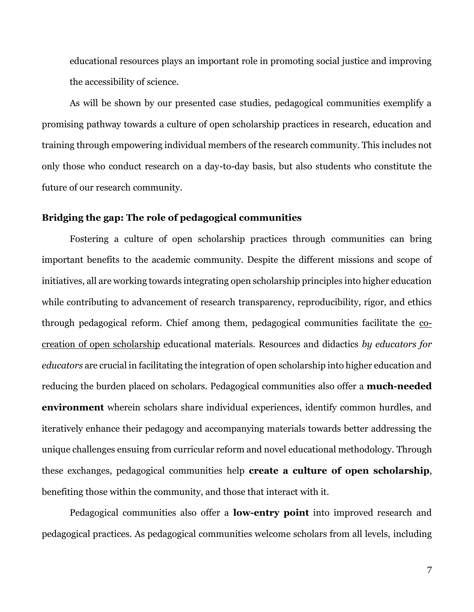educational resources plays an important role in promoting social justice and improving the accessibility of science.

As will be shown by our presented case studies, pedagogical communities exemplify a promising pathway towards a culture of open scholarship practices in research, education and training through empowering individual members of the research community. This includes not only those who conduct research on a day-to-day basis, but also students who constitute the future of our research community.

#### **Bridging the gap: The role of pedagogical communities**

Fostering a culture of open scholarship practices through communities can bring important benefits to the academic community. Despite the different missions and scope of initiatives, all are working towards integrating open scholarship principles into higher education while contributing to advancement of research transparency, reproducibility, rigor, and ethics through pedagogical reform. Chief among them, pedagogical communities facilitate the cocreation of open scholarship educational materials. Resources and didactics *by educators for educators* are crucial in facilitating the integration of open scholarship into higher education and reducing the burden placed on scholars. Pedagogical communities also offer a **much-needed environment** wherein scholars share individual experiences, identify common hurdles, and iteratively enhance their pedagogy and accompanying materials towards better addressing the unique challenges ensuing from curricular reform and novel educational methodology. Through these exchanges, pedagogical communities help **create a culture of open scholarship**, benefiting those within the community, and those that interact with it.

Pedagogical communities also offer a **low-entry point** into improved research and pedagogical practices. As pedagogical communities welcome scholars from all levels, including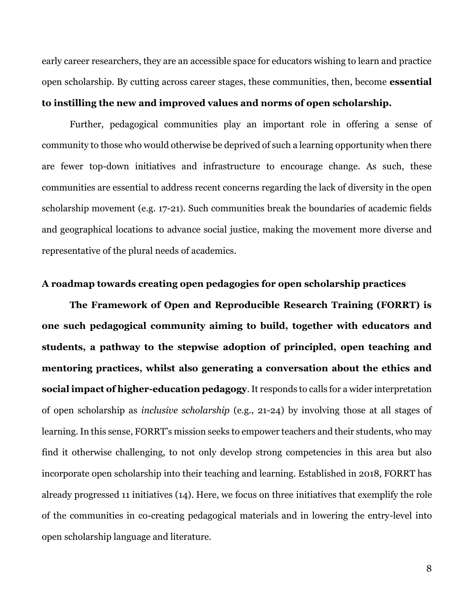early career researchers, they are an accessible space for educators wishing to learn and practice open scholarship. By cutting across career stages, these communities, then, become **essential to instilling the new and improved values and norms of open scholarship.**

Further, pedagogical communities play an important role in offering a sense of community to those who would otherwise be deprived of such a learning opportunity when there are fewer top-down initiatives and infrastructure to encourage change. As such, these communities are essential to address recent concerns regarding the lack of diversity in the open scholarship movement (e.g. 17-21). Such communities break the boundaries of academic fields and geographical locations to advance social justice, making the movement more diverse and representative of the plural needs of academics.

#### **A roadmap towards creating open pedagogies for open scholarship practices**

**The Framework of Open and Reproducible Research Training (FORRT) is one such pedagogical community aiming to build, together with educators and students, a pathway to the stepwise adoption of principled, open teaching and mentoring practices, whilst also generating a conversation about the ethics and social impact of higher-education pedagogy**. It responds to calls for a wider interpretation of open scholarship as *inclusive scholarship* (e.g., 21-24) by involving those at all stages of learning. In this sense, FORRT's mission seeks to empower teachers and their students, who may find it otherwise challenging, to not only develop strong competencies in this area but also incorporate open scholarship into their teaching and learning. Established in 2018, FORRT has already progressed 11 initiatives (14). Here, we focus on three initiatives that exemplify the role of the communities in co-creating pedagogical materials and in lowering the entry-level into open scholarship language and literature.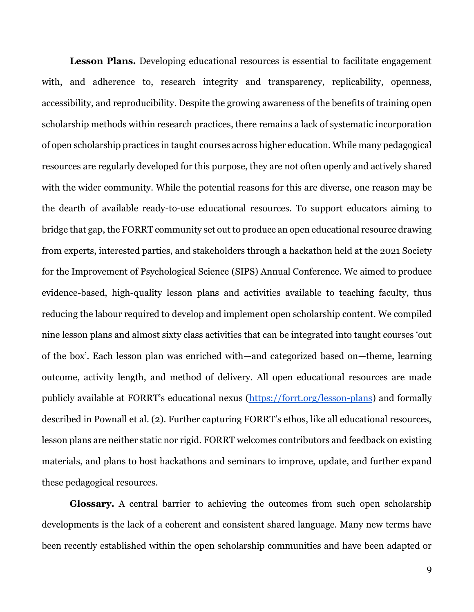Lesson Plans. Developing educational resources is essential to facilitate engagement with, and adherence to, research integrity and transparency, replicability, openness, accessibility, and reproducibility. Despite the growing awareness of the benefits of training open scholarship methods within research practices, there remains a lack of systematic incorporation of open scholarship practices in taught courses across higher education. While many pedagogical resources are regularly developed for this purpose, they are not often openly and actively shared with the wider community. While the potential reasons for this are diverse, one reason may be the dearth of available ready-to-use educational resources. To support educators aiming to bridge that gap, the FORRT community set out to produce an open educational resource drawing from experts, interested parties, and stakeholders through a hackathon held at the 2021 Society for the Improvement of Psychological Science (SIPS) Annual Conference. We aimed to produce evidence-based, high-quality lesson plans and activities available to teaching faculty, thus reducing the labour required to develop and implement open scholarship content. We compiled nine lesson plans and almost sixty class activities that can be integrated into taught courses 'out of the box'. Each lesson plan was enriched with—and categorized based on—theme, learning outcome, activity length, and method of delivery. All open educational resources are made publicly available at FORRT's educational nexus ([https://forrt.org/lesson-plans\)](https://forrt.org/lesson-plans/) and formally described in Pownall et al. (2). Further capturing FORRT's ethos, like all educational resources, lesson plans are neither static nor rigid. FORRT welcomes contributors and feedback on existing materials, and plans to host hackathons and seminars to improve, update, and further expand these pedagogical resources.

**Glossary.** A central barrier to achieving the outcomes from such open scholarship developments is the lack of a coherent and consistent shared language. Many new terms have been recently established within the open scholarship communities and have been adapted or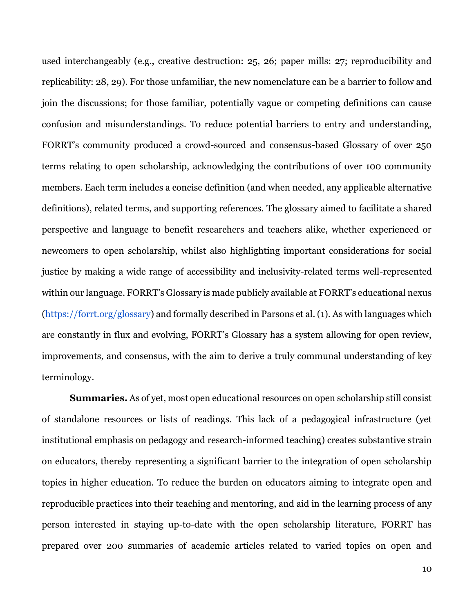used interchangeably (e.g., creative destruction: 25, 26; paper mills: 27; reproducibility and replicability: 28, 29). For those unfamiliar, the new nomenclature can be a barrier to follow and join the discussions; for those familiar, potentially vague or competing definitions can cause confusion and misunderstandings. To reduce potential barriers to entry and understanding, FORRT's community produced a crowd-sourced and consensus-based Glossary of over 250 terms relating to open scholarship, acknowledging the contributions of over 100 community members. Each term includes a concise definition (and when needed, any applicable alternative definitions), related terms, and supporting references. The glossary aimed to facilitate a shared perspective and language to benefit researchers and teachers alike, whether experienced or newcomers to open scholarship, whilst also highlighting important considerations for social justice by making a wide range of accessibility and inclusivity-related terms well-represented within our language. FORRT's Glossary is made publicly available at FORRT's educational nexus [\(https://forrt.org/glossary\)](https://forrt.org/glossary) and formally described in Parsons et al. (1). As with languages which are constantly in flux and evolving, FORRT's Glossary has a system allowing for open review, improvements, and consensus, with the aim to derive a truly communal understanding of key terminology.

**Summaries.** As of yet, most open educational resources on open scholarship still consist of standalone resources or lists of readings. This lack of a pedagogical infrastructure (yet institutional emphasis on pedagogy and research-informed teaching) creates substantive strain on educators, thereby representing a significant barrier to the integration of open scholarship topics in higher education. To reduce the burden on educators aiming to integrate open and reproducible practices into their teaching and mentoring, and aid in the learning process of any person interested in staying up-to-date with the open scholarship literature, FORRT has prepared over 200 summaries of academic articles related to varied topics on open and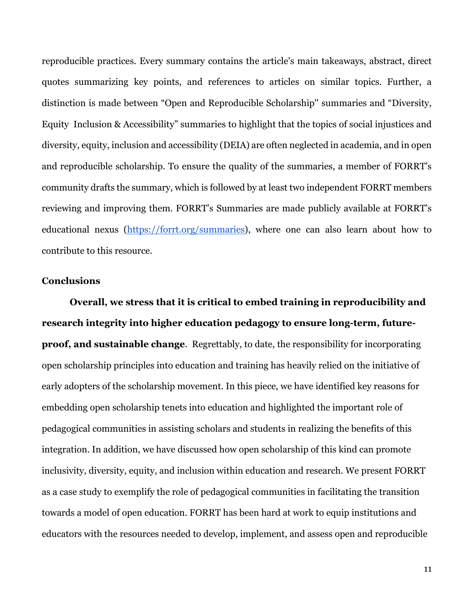reproducible practices. Every summary contains the article's main takeaways, abstract, direct quotes summarizing key points, and references to articles on similar topics. Further, a distinction is made between "Open and Reproducible Scholarship'' summaries and "Diversity, Equity Inclusion & Accessibility" summaries to highlight that the topics of social injustices and diversity, equity, inclusion and accessibility (DEIA) are often neglected in academia, and in open and reproducible scholarship. To ensure the quality of the summaries, a member of FORRT's community drafts the summary, which is followed by at least two independent FORRT members reviewing and improving them. FORRT's Summaries are made publicly available at FORRT's educational nexus [\(https://forrt.org/summaries\)](https://forrt.org/summaries), where one can also learn about how to contribute to this resource.

### **Conclusions**

**Overall, we stress that it is critical to embed training in reproducibility and research integrity into higher education pedagogy to ensure long-term, futureproof, and sustainable change**. Regrettably, to date, the responsibility for incorporating open scholarship principles into education and training has heavily relied on the initiative of early adopters of the scholarship movement. In this piece, we have identified key reasons for embedding open scholarship tenets into education and highlighted the important role of pedagogical communities in assisting scholars and students in realizing the benefits of this integration. In addition, we have discussed how open scholarship of this kind can promote inclusivity, diversity, equity, and inclusion within education and research. We present FORRT as a case study to exemplify the role of pedagogical communities in facilitating the transition towards a model of open education. FORRT has been hard at work to equip institutions and educators with the resources needed to develop, implement, and assess open and reproducible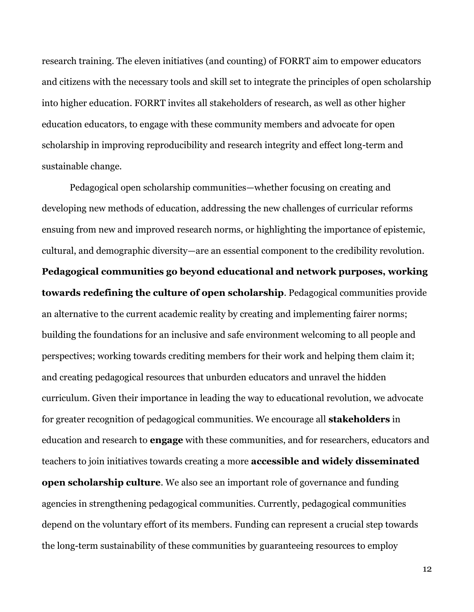research training. The eleven initiatives (and counting) of FORRT aim to empower educators and citizens with the necessary tools and skill set to integrate the principles of open scholarship into higher education. FORRT invites all stakeholders of research, as well as other higher education educators, to engage with these community members and advocate for open scholarship in improving reproducibility and research integrity and effect long-term and sustainable change.

Pedagogical open scholarship communities—whether focusing on creating and developing new methods of education, addressing the new challenges of curricular reforms ensuing from new and improved research norms, or highlighting the importance of epistemic, cultural, and demographic diversity—are an essential component to the credibility revolution. **Pedagogical communities go beyond educational and network purposes, working towards redefining the culture of open scholarship**. Pedagogical communities provide an alternative to the current academic reality by creating and implementing fairer norms; building the foundations for an inclusive and safe environment welcoming to all people and perspectives; working towards crediting members for their work and helping them claim it; and creating pedagogical resources that unburden educators and unravel the hidden curriculum. Given their importance in leading the way to educational revolution, we advocate for greater recognition of pedagogical communities. We encourage all **stakeholders** in education and research to **engage** with these communities, and for researchers, educators and teachers to join initiatives towards creating a more **accessible and widely disseminated open scholarship culture**. We also see an important role of governance and funding agencies in strengthening pedagogical communities. Currently, pedagogical communities depend on the voluntary effort of its members. Funding can represent a crucial step towards the long-term sustainability of these communities by guaranteeing resources to employ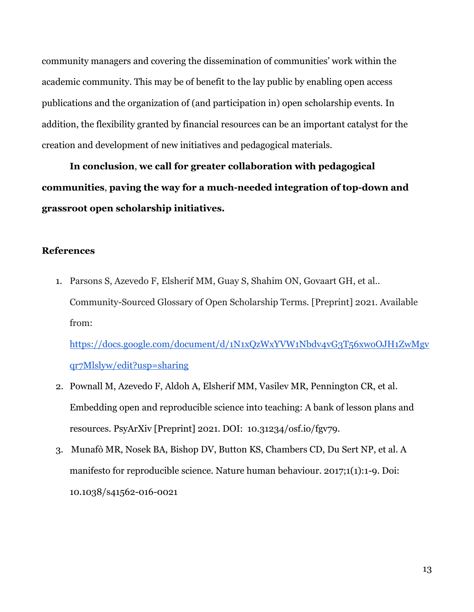community managers and covering the dissemination of communities' work within the academic community. This may be of benefit to the lay public by enabling open access publications and the organization of (and participation in) open scholarship events. In addition, the flexibility granted by financial resources can be an important catalyst for the creation and development of new initiatives and pedagogical materials.

**In conclusion**, **we call for greater collaboration with pedagogical communities**, **paving the way for a much-needed integration of top-down and grassroot open scholarship initiatives.**

### **References**

1. Parsons S, Azevedo F, Elsherif MM, Guay S, Shahim ON, Govaart GH, et al.. Community-Sourced Glossary of Open Scholarship Terms. [Preprint] 2021. Available from:

[https://docs.google.com/document/d/1N1xQzWxYVW1Nbdv4vG3T56xwoOJH1ZwMgv](https://docs.google.com/document/d/1N1xQzWxYVW1Nbdv4vG3T56xwoOJH1ZwMgvqr7Mlslyw/edit?usp=sharing) [qr7Mlslyw/edit?usp=sharing](https://docs.google.com/document/d/1N1xQzWxYVW1Nbdv4vG3T56xwoOJH1ZwMgvqr7Mlslyw/edit?usp=sharing)

- 2. Pownall M, Azevedo F, Aldoh A, Elsherif MM, Vasilev MR, Pennington CR, et al. Embedding open and reproducible science into teaching: A bank of lesson plans and resources. PsyArXiv [Preprint] 2021. DOI: 10.31234/osf.io/fgv79.
- 3. Munafò MR, Nosek BA, Bishop DV, Button KS, Chambers CD, Du Sert NP, et al. A manifesto for reproducible science. Nature human behaviour. 2017;1(1):1-9. Doi: 10.1038/s41562-016-0021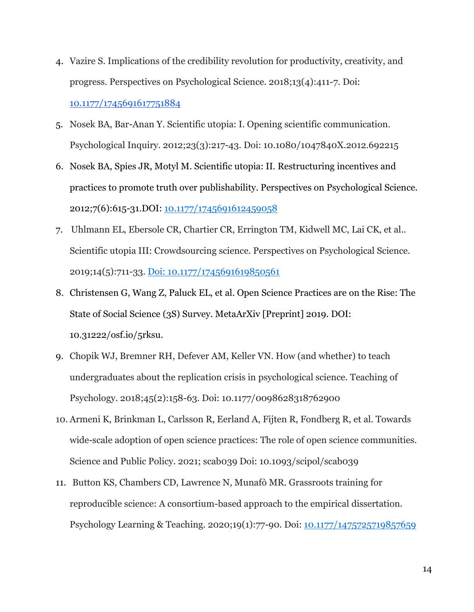- 4. Vazire S. Implications of the credibility revolution for productivity, creativity, and progress. Perspectives on Psychological Science. 2018;13(4):411-7. Doi: [10.1177/1745691617751884](https://doi.org/10.1177/1745691617751884)
- 5. Nosek BA, Bar-Anan Y. Scientific utopia: I. Opening scientific communication. Psychological Inquiry. 2012;23(3):217-43. Doi: 10.1080/1047840X.2012.692215
- 6. Nosek BA, Spies JR, Motyl M. Scientific utopia: II. Restructuring incentives and practices to promote truth over publishability. Perspectives on Psychological Science. 2012;7(6):615-31.DOI: [10.1177/1745691612459058](https://doi.org/10.1177%2F1745691612459058)
- 7. Uhlmann EL, Ebersole CR, Chartier CR, Errington TM, Kidwell MC, Lai CK, et al.. Scientific utopia III: Crowdsourcing science. Perspectives on Psychological Science. 2019;14(5):711-33[.](https://doi.org/10.1177%2F1745691619850561) [Doi: 10.1177/1745691619850561](https://doi.org/10.1177%2F1745691619850561)
- 8. Christensen G, Wang Z, Paluck EL, et al. Open Science Practices are on the Rise: The State of Social Science (3S) Survey. MetaArXiv [Preprint] 2019. DOI: 10.31222/osf.io/5rksu.
- 9. Chopik WJ, Bremner RH, Defever AM, Keller VN. How (and whether) to teach undergraduates about the replication crisis in psychological science. Teaching of Psychology. 2018;45(2):158-63. Doi: 10.1177/0098628318762900
- 10. Armeni K, Brinkman L, Carlsson R, Eerland A, Fijten R, Fondberg R, et al. Towards wide-scale adoption of open science practices: The role of open science communities. Science and Public Policy. 2021; scab039 Doi: 10.1093/scipol/scab039
- 11. Button KS, Chambers CD, Lawrence N, Munafò MR. Grassroots training for reproducible science: A consortium-based approach to the empirical dissertation. Psychology Learning & Teaching. 2020;19(1):77-90. Doi: [10.1177/1475725719857659](https://doi.org/10.1177%2F1475725719857659)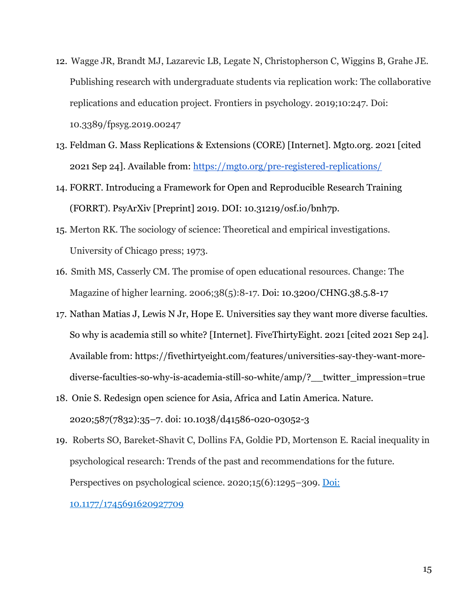- 12. Wagge JR, Brandt MJ, Lazarevic LB, Legate N, Christopherson C, Wiggins B, Grahe JE. Publishing research with undergraduate students via replication work: The collaborative replications and education project. Frontiers in psychology. 2019;10:247. Doi: 10.3389/fpsyg.2019.00247
- 13. Feldman G. Mass Replications & Extensions (CORE) [Internet]. Mgto.org. 2021 [cited 2021 Sep 24]. Available from:<https://mgto.org/pre-registered-replications/>
- 14. FORRT. Introducing a Framework for Open and Reproducible Research Training (FORRT). PsyArXiv [Preprint] 2019. DOI: 10.31219/osf.io/bnh7p.
- 15. Merton RK. The sociology of science: Theoretical and empirical investigations. University of Chicago press; 1973.
- 16. Smith MS, Casserly CM. The promise of open educational resources. Change: The Magazine of higher learning. 2006;38(5):8-17. Doi: 10.3200/CHNG.38.5.8-17
- 17. Nathan Matias J, Lewis N Jr, Hope E. Universities say they want more diverse faculties. So why is academia still so white? [Internet]. FiveThirtyEight. 2021 [cited 2021 Sep 24]. Available from: https://fivethirtyeight.com/features/universities-say-they-want-morediverse-faculties-so-why-is-academia-still-so-white/amp/?\_\_twitter\_impression=true
- 18. Onie S. Redesign open science for Asia, Africa and Latin America. Nature. 2020;587(7832):35–7. doi: 10.1038/d41586-020-03052-3
- 19. Roberts SO, Bareket-Shavit C, Dollins FA, Goldie PD, Mortenson E. Racial inequality in psychological research: Trends of the past and recommendations for the future. Perspectives on psychological science. 2020;15(6):1295–309[.](https://doi.org/10.1177%2F1745691620927709) [Doi:](https://doi.org/10.1177%2F1745691620927709)

[10.1177/1745691620927709](https://doi.org/10.1177%2F1745691620927709)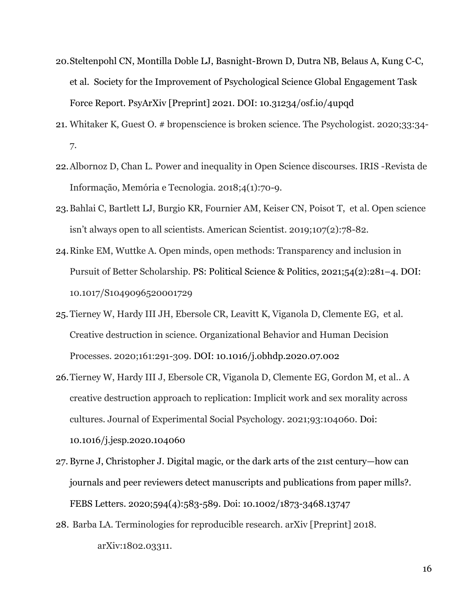- 20.Steltenpohl CN, Montilla Doble LJ, Basnight-Brown D, Dutra NB, Belaus A, Kung C-C, et al. Society for the Improvement of Psychological Science Global Engagement Task Force Report. PsyArXiv [Preprint] 2021. DOI: 10.31234/osf.io/4upqd
- 21. Whitaker K, Guest O. # bropenscience is broken science. The Psychologist. 2020;33:34- 7.
- 22.Albornoz D, Chan L. Power and inequality in Open Science discourses. IRIS -Revista de Informação, Memória e Tecnologia. 2018;4(1):70-9.
- 23.Bahlai C, Bartlett LJ, Burgio KR, Fournier AM, Keiser CN, Poisot T, et al. Open science isn't always open to all scientists. American Scientist. 2019;107(2):78-82.
- 24.Rinke EM, Wuttke A. Open minds, open methods: Transparency and inclusion in Pursuit of Better Scholarship. PS: Political Science & Politics, 2021;54(2):281–4. DOI: 10.1017/S1049096520001729
- 25.Tierney W, Hardy III JH, Ebersole CR, Leavitt K, Viganola D, Clemente EG, et al. Creative destruction in science. Organizational Behavior and Human Decision Processes. 2020;161:291-309[.](https://doi.org/10.1016/j.obhdp.2020.07.002) [DOI: 10.1016/j.obhdp.2020.07.002](https://doi.org/10.1016/j.obhdp.2020.07.002)
- 26.Tierney W, Hardy III J, Ebersole CR, Viganola D, Clemente EG, Gordon M, et al.. A creative destruction approach to replication: Implicit work and sex morality across cultures. Journal of Experimental Social Psychology. 2021;93:104060. [Doi:](https://doi.org/10.1016/j.jesp.2020.104060)  [10.1016/j.jesp.2020.104060](https://doi.org/10.1016/j.jesp.2020.104060)
- 27. Byrne J, Christopher J. Digital magic, or the dark arts of the 21st century—how can journals and peer reviewers detect manuscripts and publications from paper mills?. FEBS Letters. 2020;594(4):583-589. Doi: 10.1002/1873-3468.13747
- 28. Barba LA. Terminologies for reproducible research. arXiv [Preprint] 2018. arXiv:1802.03311.